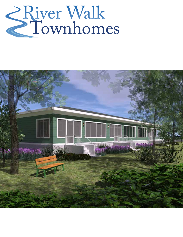# River Walk

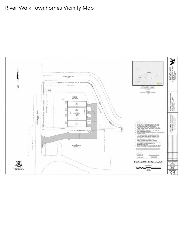#### River Walk Townhomes Vicinity Map

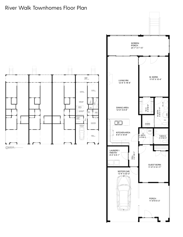#### River Walk Townhomes Floor Plan



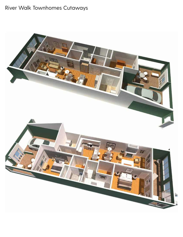# River Walk Townhomes Cutaways

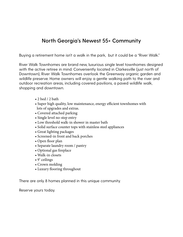#### **North Georgia's Newest 55+ Community**

Buying a retirement home isn't a walk in the park, but it could be a "River Walk."

River Walk Townhomes are brand new, luxurious single level townhomes designed with the active retiree in mind. Conveniently located in Clarkesville (just north of Downtown), River Walk Townhomes overlook the Greenway organic garden and wildlife preserve. Home owners will enjoy a gentle walking path to the river and outdoor recreation areas, including covered pavilions, a paved wildlife walk, shopping and downtown.

- 2 bed / 2 bath
- Super high quality, low maintenance, energy efficient townhomes with lots of upgrades and extras.
- Covered attached parking
- Single level no-step entry
- Low threshold walk-in shower in master bath
- Solid surface counter tops with stainless steel appliances
- Great lighting packages
- Screened-in front and back porches
- Open floor plan
- Separate laundry room / pantry
- Optional gas fireplace
- Walk-in closets
- 9' ceilings
- Crown molding
- Luxury flooring throughout

There are only 8 homes planned in this unique community.

Reserve yours today.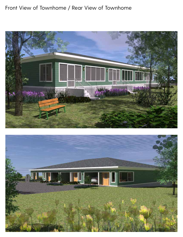#### Front View of Townhome / Rear View of Townhome



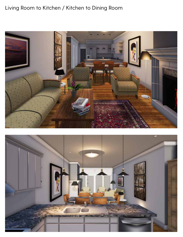# Living Room to Kitchen / Kitchen to Dining Room



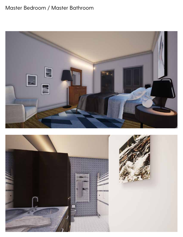## Master Bedroom / Master Bathroom



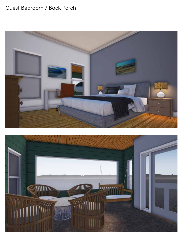## Guest Bedroom / Back Porch



![](_page_8_Picture_2.jpeg)